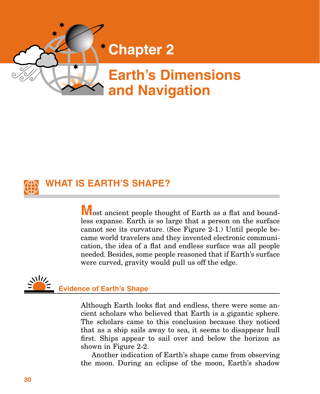



**M**ost ancient people thought of Earth as a flat and boundless expanse. Earth is so large that a person on the surface cannot see its curvature. (See Figure 2-1.) Until people became world travelers and they invented electronic communication, the idea of a flat and endless surface was all people needed. Besides, some people reasoned that if Earth's surface were curved, gravity would pull us off the edge.



Although Earth looks flat and endless, there were some ancient scholars who believed that Earth is a gigantic sphere. The scholars came to this conclusion because they noticed that as a ship sails away to sea, it seems to disappear hull first. Ships appear to sail over and below the horizon as shown in Figure 2-2.

Another indication of Earth's shape came from observing the moon. During an eclipse of the moon, Earth's shadow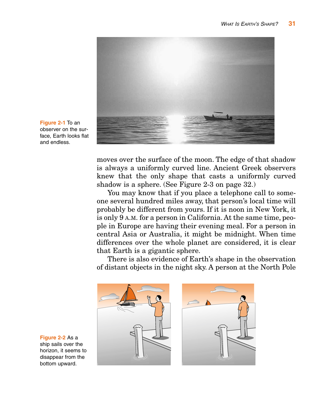

**Figure 2-1** To an observer on the surface, Earth looks flat and endless.

moves over the surface of the moon. The edge of that shadow is always a uniformly curved line. Ancient Greek observers knew that the only shape that casts a uniformly curved shadow is a sphere. (See Figure 2-3 on page 32.)

You may know that if you place a telephone call to someone several hundred miles away, that person's local time will probably be different from yours. If it is noon in New York, it is only 9 A.M. for a person in California. At the same time, people in Europe are having their evening meal. For a person in central Asia or Australia, it might be midnight. When time differences over the whole planet are considered, it is clear that Earth is a gigantic sphere.

There is also evidence of Earth's shape in the observation of distant objects in the night sky. A person at the North Pole





**Figure 2-2** As a ship sails over the horizon, it seems to disappear from the bottom upward.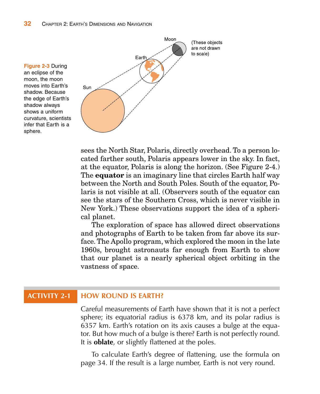



sees the North Star, Polaris, directly overhead. To a person located farther south, Polaris appears lower in the sky. In fact, at the equator, Polaris is along the horizon. (See Figure 2-4.) The **equator** is an imaginary line that circles Earth half way between the North and South Poles. South of the equator, Polaris is not visible at all. (Observers south of the equator can see the stars of the Southern Cross, which is never visible in New York.) These observations support the idea of a spherical planet.

The exploration of space has allowed direct observations and photographs of Earth to be taken from far above its surface. The Apollo program, which explored the moon in the late 1960s, brought astronauts far enough from Earth to show that our planet is a nearly spherical object orbiting in the vastness of space.

#### **ACTIVITY 2-1 HOW ROUND IS EARTH?**

Careful measurements of Earth have shown that it is not a perfect sphere; its equatorial radius is 6378 km, and its polar radius is 6357 km. Earth's rotation on its axis causes a bulge at the equator. But how much of a bulge is there? Earth is not perfectly round. It is **oblate**, or slightly flattened at the poles.

To calculate Earth's degree of flattening, use the formula on page 34. If the result is a large number, Earth is not very round.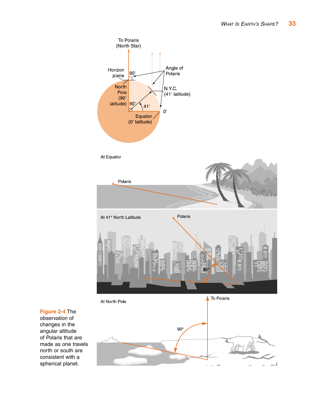

**Figure 2-4** The observation of changes in the angular altitude of Polaris that are made as one travels north or south are consistent with a spherical planet.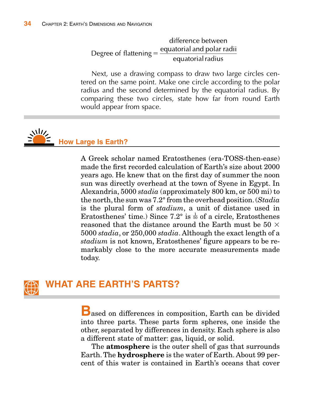Next, use a drawing compass to draw two large circles centered on the same point. Make one circle according to the polar radius and the second determined by the equatorial radius. By comparing these two circles, state how far from round Earth would appear from space.



A Greek scholar named Eratosthenes (era-TOSS-then-ease) made the first recorded calculation of Earth's size about 2000 years ago. He knew that on the first day of summer the noon sun was directly overhead at the town of Syene in Egypt. In Alexandria, 5000 *stadia* (approximately 800 km, or 500 mi) to the north, the sun was 7.2° from the overhead position. (*Stadia* is the plural form of *stadium*, a unit of distance used in Eratosthenes' time.) Since 7.2° is  $\frac{1}{50}$  of a circle, Eratosthenes reasoned that the distance around the Earth must be 50  $\times$ 5000 *stadia*, or 250,000 *stadia*. Although the exact length of a *stadium* is not known, Eratosthenes' figure appears to be remarkably close to the more accurate measurements made today.



### **WHAT ARE EARTH'S PARTS?**

**B**ased on differences in composition, Earth can be divided into three parts. These parts form spheres, one inside the other, separated by differences in density. Each sphere is also a different state of matter: gas, liquid, or solid.

The **atmosphere** is the outer shell of gas that surrounds Earth. The **hydrosphere** is the water of Earth. About 99 percent of this water is contained in Earth's oceans that cover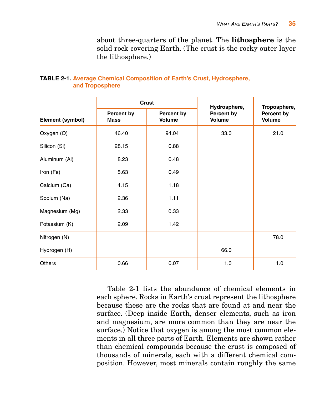about three-quarters of the planet. The **lithosphere** is the solid rock covering Earth. (The crust is the rocky outer layer the lithosphere.)

#### **TABLE 2-1. Average Chemical Composition of Earth's Crust, Hydrosphere, and Troposphere**

|                  | <b>Crust</b>                                             |       | Hydrosphere,                | Troposphere,                |  |
|------------------|----------------------------------------------------------|-------|-----------------------------|-----------------------------|--|
| Element (symbol) | Percent by<br>Percent by<br><b>Mass</b><br><b>Volume</b> |       | Percent by<br><b>Volume</b> | Percent by<br><b>Volume</b> |  |
| Oxygen (O)       | 46.40                                                    | 94.04 | 33.0                        | 21.0                        |  |
| Silicon (Si)     | 28.15                                                    | 0.88  |                             |                             |  |
| Aluminum (Al)    | 8.23                                                     | 0.48  |                             |                             |  |
| Iron (Fe)        | 5.63                                                     | 0.49  |                             |                             |  |
| Calcium (Ca)     | 4.15                                                     | 1.18  |                             |                             |  |
| Sodium (Na)      | 2.36                                                     | 1.11  |                             |                             |  |
| Magnesium (Mg)   | 2.33                                                     | 0.33  |                             |                             |  |
| Potassium (K)    | 2.09                                                     | 1.42  |                             |                             |  |
| Nitrogen (N)     |                                                          |       |                             | 78.0                        |  |
| Hydrogen (H)     |                                                          |       | 66.0                        |                             |  |
| <b>Others</b>    | 0.66                                                     | 0.07  | 1.0                         | 1.0                         |  |

Table 2-1 lists the abundance of chemical elements in each sphere. Rocks in Earth's crust represent the lithosphere because these are the rocks that are found at and near the surface. (Deep inside Earth, denser elements, such as iron and magnesium, are more common than they are near the surface.) Notice that oxygen is among the most common elements in all three parts of Earth. Elements are shown rather than chemical compounds because the crust is composed of thousands of minerals, each with a different chemical composition. However, most minerals contain roughly the same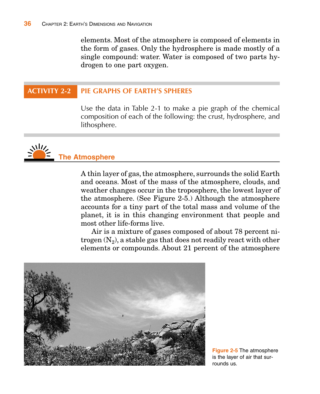elements. Most of the atmosphere is composed of elements in the form of gases. Only the hydrosphere is made mostly of a single compound: water. Water is composed of two parts hydrogen to one part oxygen.

#### **ACTIVITY 2-2 PIE GRAPHS OF EARTH'S SPHERES**

Use the data in Table 2-1 to make a pie graph of the chemical composition of each of the following: the crust, hydrosphere, and lithosphere.



A thin layer of gas, the atmosphere, surrounds the solid Earth and oceans. Most of the mass of the atmosphere, clouds, and weather changes occur in the troposphere, the lowest layer of the atmosphere. (See Figure 2-5.) Although the atmosphere accounts for a tiny part of the total mass and volume of the planet, it is in this changing environment that people and most other life-forms live.

Air is a mixture of gases composed of about 78 percent nitrogen  $(N_2)$ , a stable gas that does not readily react with other elements or compounds. About 21 percent of the atmosphere



**Figure 2-5** The atmosphere is the layer of air that surrounds us.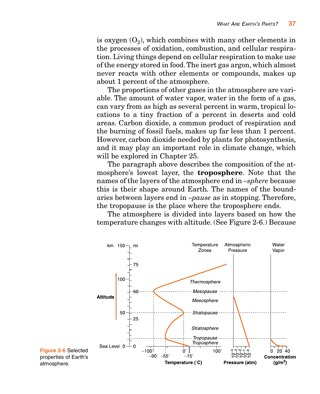is oxygen  $(O_2)$ , which combines with many other elements in the processes of oxidation, combustion, and cellular respiration. Living things depend on cellular respiration to make use of the energy stored in food.The inert gas argon, which almost never reacts with other elements or compounds, makes up about 1 percent of the atmosphere.

The proportions of other gases in the atmosphere are variable. The amount of water vapor, water in the form of a gas, can vary from as high as several percent in warm, tropical locations to a tiny fraction of a percent in deserts and cold areas. Carbon dioxide, a common product of respiration and the burning of fossil fuels, makes up far less than 1 percent. However, carbon dioxide needed by plants for photosynthesis, and it may play an important role in climate change, which will be explored in Chapter 25.

The paragraph above describes the composition of the atmosphere's lowest layer, the **troposphere**. Note that the names of the layers of the atmosphere end in *–sphere* because this is their shape around Earth*.* The names of the boundaries between layers end in *–pause* as in stopping. Therefore, the tropopause is the place where the troposphere ends.

The atmosphere is divided into layers based on how the temperature changes with altitude. (See Figure 2-6.) Because



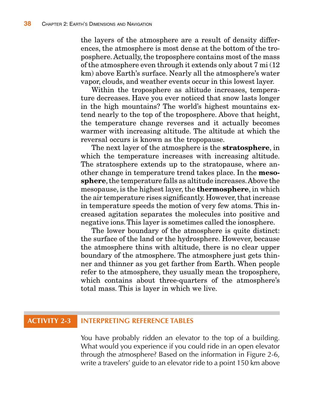the layers of the atmosphere are a result of density differences, the atmosphere is most dense at the bottom of the troposphere. Actually, the troposphere contains most of the mass of the atmosphere even through it extends only about 7 mi (12 km) above Earth's surface. Nearly all the atmosphere's water vapor, clouds, and weather events occur in this lowest layer.

Within the troposphere as altitude increases, temperature decreases. Have you ever noticed that snow lasts longer in the high mountains? The world's highest mountains extend nearly to the top of the troposphere. Above that height, the temperature change reverses and it actually becomes warmer with increasing altitude. The altitude at which the reversal occurs is known as the tropopause.

The next layer of the atmosphere is the **stratosphere**, in which the temperature increases with increasing altitude. The stratosphere extends up to the stratopause, where another change in temperature trend takes place. In the **mesosphere**, the temperature falls as altitude increases.Above the mesopause, is the highest layer, the **thermosphere**, in which the air temperature rises significantly. However, that increase in temperature speeds the motion of very few atoms. This increased agitation separates the molecules into positive and negative ions. This layer is sometimes called the ionosphere.

The lower boundary of the atmosphere is quite distinct: the surface of the land or the hydrosphere. However, because the atmosphere thins with altitude, there is no clear upper boundary of the atmosphere. The atmosphere just gets thinner and thinner as you get farther from Earth. When people refer to the atmosphere, they usually mean the troposphere, which contains about three-quarters of the atmosphere's total mass. This is layer in which we live.

#### **ACTIVITY 2-3 INTERPRETING REFERENCE TABLES**

You have probably ridden an elevator to the top of a building. What would you experience if you could ride in an open elevator through the atmosphere? Based on the information in Figure 2-6, write a travelers' guide to an elevator ride to a point 150 km above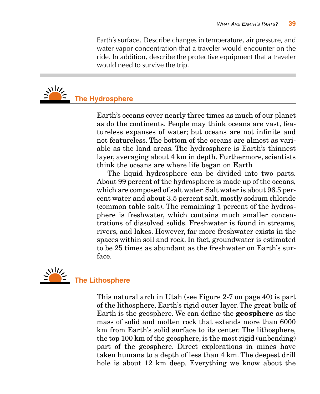Earth's surface. Describe changes in temperature, air pressure, and water vapor concentration that a traveler would encounter on the ride. In addition, describe the protective equipment that a traveler would need to survive the trip.

# **The Hydrosphere**

Earth's oceans cover nearly three times as much of our planet as do the continents. People may think oceans are vast, featureless expanses of water; but oceans are not infinite and not featureless. The bottom of the oceans are almost as variable as the land areas. The hydrosphere is Earth's thinnest layer, averaging about 4 km in depth. Furthermore, scientists think the oceans are where life began on Earth

The liquid hydrosphere can be divided into two parts. About 99 percent of the hydrosphere is made up of the oceans, which are composed of salt water. Salt water is about 96.5 percent water and about 3.5 percent salt, mostly sodium chloride (common table salt). The remaining 1 percent of the hydrosphere is freshwater, which contains much smaller concentrations of dissolved solids. Freshwater is found in streams, rivers, and lakes. However, far more freshwater exists in the spaces within soil and rock. In fact, groundwater is estimated to be 25 times as abundant as the freshwater on Earth's surface.



This natural arch in Utah (see Figure 2-7 on page 40) is part of the lithosphere, Earth's rigid outer layer. The great bulk of Earth is the geosphere. We can define the **geosphere** as the mass of solid and molten rock that extends more than 6000 km from Earth's solid surface to its center. The lithosphere, the top 100 km of the geosphere, is the most rigid (unbending) part of the geosphere. Direct explorations in mines have taken humans to a depth of less than 4 km. The deepest drill hole is about 12 km deep. Everything we know about the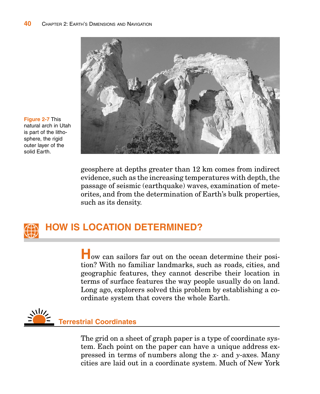

**Figure 2-7** This natural arch in Utah is part of the lithosphere, the rigid outer layer of the solid Earth.

> geosphere at depths greater than 12 km comes from indirect evidence, such as the increasing temperatures with depth, the passage of seismic (earthquake) waves, examination of meteorites, and from the determination of Earth's bulk properties, such as its density.



## **HOW IS LOCATION DETERMINED?**

**H**ow can sailors far out on the ocean determine their position? With no familiar landmarks, such as roads, cities, and geographic features, they cannot describe their location in terms of surface features the way people usually do on land. Long ago, explorers solved this problem by establishing a coordinate system that covers the whole Earth.



The grid on a sheet of graph paper is a type of coordinate system. Each point on the paper can have a unique address expressed in terms of numbers along the *x-* and *y*-axes. Many cities are laid out in a coordinate system. Much of New York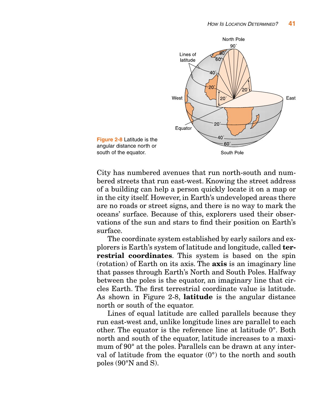

**Figure 2-8** Latitude is the angular distance north or south of the equator.

City has numbered avenues that run north-south and numbered streets that run east-west. Knowing the street address of a building can help a person quickly locate it on a map or in the city itself. However, in Earth's undeveloped areas there are no roads or street signs, and there is no way to mark the oceans' surface. Because of this, explorers used their observations of the sun and stars to find their position on Earth's surface.

The coordinate system established by early sailors and explorers is Earth's system of latitude and longitude, called **terrestrial coordinates**. This system is based on the spin (rotation) of Earth on its axis. The **axis** is an imaginary line that passes through Earth's North and South Poles. Halfway between the poles is the equator, an imaginary line that circles Earth. The first terrestrial coordinate value is latitude. As shown in Figure 2-8, **latitude** is the angular distance north or south of the equator.

Lines of equal latitude are called parallels because they run east-west and, unlike longitude lines are parallel to each other. The equator is the reference line at latitude 0°. Both north and south of the equator, latitude increases to a maximum of 90° at the poles. Parallels can be drawn at any interval of latitude from the equator  $(0^{\circ})$  to the north and south poles (90°N and S).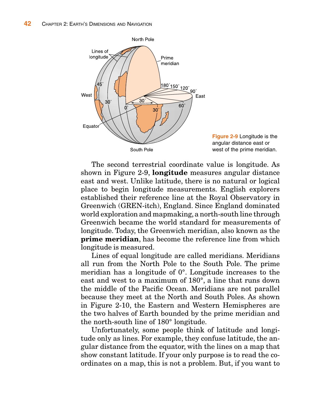

The second terrestrial coordinate value is longitude. As shown in Figure 2-9, **longitude** measures angular distance east and west. Unlike latitude, there is no natural or logical place to begin longitude measurements. English explorers established their reference line at the Royal Observatory in Greenwich (GREN-itch), England. Since England dominated world exploration and mapmaking, a north-south line through Greenwich became the world standard for measurements of longitude. Today, the Greenwich meridian, also known as the **prime meridian**, has become the reference line from which longitude is measured.

Lines of equal longitude are called meridians. Meridians all run from the North Pole to the South Pole. The prime meridian has a longitude of 0°. Longitude increases to the east and west to a maximum of 180°, a line that runs down the middle of the Pacific Ocean. Meridians are not parallel because they meet at the North and South Poles. As shown in Figure 2-10, the Eastern and Western Hemispheres are the two halves of Earth bounded by the prime meridian and the north-south line of 180° longitude.

Unfortunately, some people think of latitude and longitude only as lines. For example, they confuse latitude, the angular distance from the equator, with the lines on a map that show constant latitude. If your only purpose is to read the coordinates on a map, this is not a problem. But, if you want to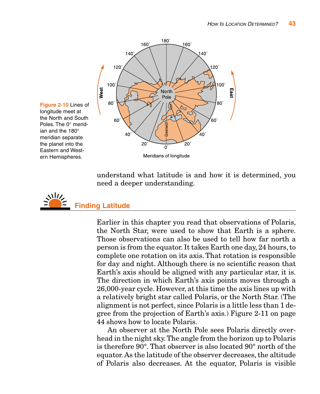

understand what latitude is and how it is determined, you need a deeper understanding.



Earlier in this chapter you read that observations of Polaris, the North Star, were used to show that Earth is a sphere. Those observations can also be used to tell how far north a person is from the equator. It takes Earth one day, 24 hours, to complete one rotation on its axis. That rotation is responsible for day and night. Although there is no scientific reason that Earth's axis should be aligned with any particular star, it is. The direction in which Earth's axis points moves through a 26,000-year cycle. However, at this time the axis lines up with a relatively bright star called Polaris, or the North Star. (The alignment is not perfect, since Polaris is a little less than 1 degree from the projection of Earth's axis.) Figure 2-11 on page 44 shows how to locate Polaris.

An observer at the North Pole sees Polaris directly overhead in the night sky.The angle from the horizon up to Polaris is therefore 90°. That observer is also located 90° north of the equator. As the latitude of the observer decreases, the altitude of Polaris also decreases. At the equator, Polaris is visible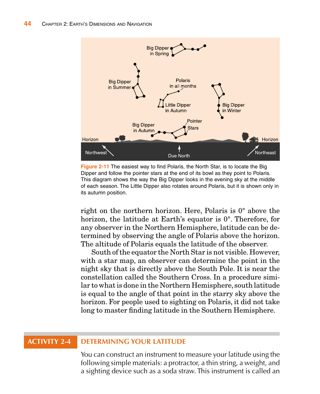

**Figure 2-11** The easiest way to find Polaris, the North Star, is to locate the Big Dipper and follow the pointer stars at the end of its bowl as they point to Polaris. This diagram shows the way the Big Dipper looks in the evening sky at the middle of each season. The Little Dipper also rotates around Polaris, but it is shown only in its autumn position.

right on the northern horizon. Here, Polaris is 0° above the horizon, the latitude at Earth's equator is 0°. Therefore, for any observer in the Northern Hemisphere, latitude can be determined by observing the angle of Polaris above the horizon. The altitude of Polaris equals the latitude of the observer.

South of the equator the North Star is not visible. However, with a star map, an observer can determine the point in the night sky that is directly above the South Pole. It is near the constellation called the Southern Cross. In a procedure similar to what is done in the Northern Hemisphere, south latitude is equal to the angle of that point in the starry sky above the horizon. For people used to sighting on Polaris, it did not take long to master finding latitude in the Southern Hemisphere.

#### **ACTIVITY 2-4 DETERMINING YOUR LATITUDE**

You can construct an instrument to measure your latitude using the following simple materials: a protractor, a thin string, a weight, and a sighting device such as a soda straw. This instrument is called an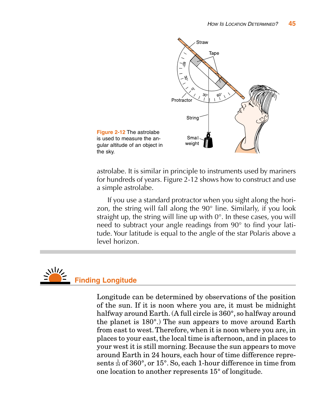

astrolabe. It is similar in principle to instruments used by mariners for hundreds of years. Figure 2-12 shows how to construct and use a simple astrolabe.

If you use a standard protractor when you sight along the horizon, the string will fall along the 90° line. Similarly, if you look straight up, the string will line up with  $0^\circ$ . In these cases, you will need to subtract your angle readings from 90° to find your latitude. Your latitude is equal to the angle of the star Polaris above a level horizon.



Longitude can be determined by observations of the position of the sun. If it is noon where you are, it must be midnight halfway around Earth. (A full circle is 360°, so halfway around the planet is 180°.) The sun appears to move around Earth from east to west. Therefore, when it is noon where you are, in places to your east, the local time is afternoon, and in places to your west it is still morning. Because the sun appears to move around Earth in 24 hours, each hour of time difference repre $sents \frac{1}{24}$  of 360°, or  $15^{\circ}$ . So, each 1-hour difference in time from one location to another represents 15° of longitude.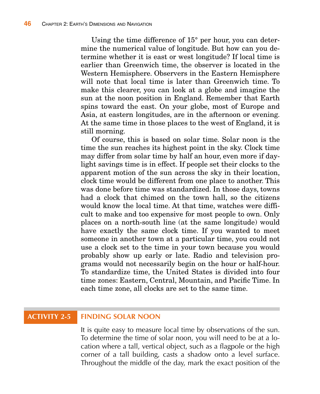Using the time difference of 15° per hour, you can determine the numerical value of longitude. But how can you determine whether it is east or west longitude? If local time is earlier than Greenwich time, the observer is located in the Western Hemisphere. Observers in the Eastern Hemisphere will note that local time is later than Greenwich time. To make this clearer, you can look at a globe and imagine the sun at the noon position in England. Remember that Earth spins toward the east. On your globe, most of Europe and Asia, at eastern longitudes, are in the afternoon or evening. At the same time in those places to the west of England, it is still morning.

Of course, this is based on solar time. Solar noon is the time the sun reaches its highest point in the sky. Clock time may differ from solar time by half an hour, even more if daylight savings time is in effect. If people set their clocks to the apparent motion of the sun across the sky in their location, clock time would be different from one place to another. This was done before time was standardized. In those days, towns had a clock that chimed on the town hall, so the citizens would know the local time. At that time, watches were difficult to make and too expensive for most people to own. Only places on a north-south line (at the same longitude) would have exactly the same clock time. If you wanted to meet someone in another town at a particular time, you could not use a clock set to the time in your town because you would probably show up early or late. Radio and television programs would not necessarily begin on the hour or half-hour. To standardize time, the United States is divided into four time zones: Eastern, Central, Mountain, and Pacific Time. In each time zone, all clocks are set to the same time.

#### **ACTIVITY 2-5 FINDING SOLAR NOON**

It is quite easy to measure local time by observations of the sun. To determine the time of solar noon, you will need to be at a location where a tall, vertical object, such as a flagpole or the high corner of a tall building, casts a shadow onto a level surface. Throughout the middle of the day, mark the exact position of the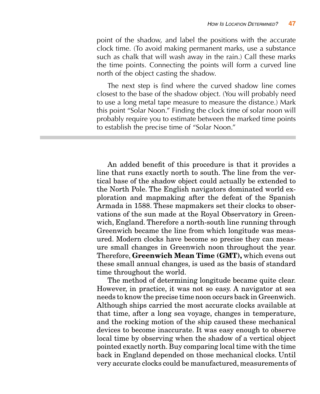point of the shadow, and label the positions with the accurate clock time. (To avoid making permanent marks, use a substance such as chalk that will wash away in the rain.) Call these marks the time points. Connecting the points will form a curved line north of the object casting the shadow.

The next step is find where the curved shadow line comes closest to the base of the shadow object. (You will probably need to use a long metal tape measure to measure the distance.) Mark this point "Solar Noon." Finding the clock time of solar noon will probably require you to estimate between the marked time points to establish the precise time of "Solar Noon."

An added benefit of this procedure is that it provides a line that runs exactly north to south. The line from the vertical base of the shadow object could actually be extended to the North Pole. The English navigators dominated world exploration and mapmaking after the defeat of the Spanish Armada in 1588. These mapmakers set their clocks to observations of the sun made at the Royal Observatory in Greenwich, England. Therefore a north-south line running through Greenwich became the line from which longitude was measured. Modern clocks have become so precise they can measure small changes in Greenwich noon throughout the year. Therefore, **Greenwich Mean Time (GMT),** which evens out these small annual changes, is used as the basis of standard time throughout the world.

The method of determining longitude became quite clear. However, in practice, it was not so easy. A navigator at sea needs to know the precise time noon occurs back in Greenwich. Although ships carried the most accurate clocks available at that time, after a long sea voyage, changes in temperature, and the rocking motion of the ship caused these mechanical devices to become inaccurate. It was easy enough to observe local time by observing when the shadow of a vertical object pointed exactly north. Buy comparing local time with the time back in England depended on those mechanical clocks. Until very accurate clocks could be manufactured, measurements of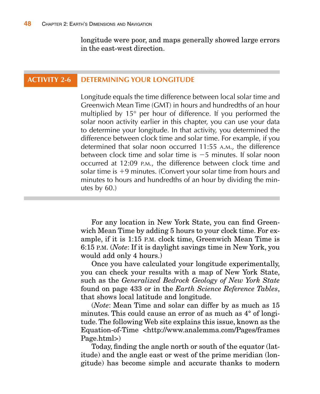longitude were poor, and maps generally showed large errors in the east-west direction.

#### **ACTIVITY 2-6 DETERMINING YOUR LONGITUDE**

Longitude equals the time difference between local solar time and Greenwich Mean Time (GMT) in hours and hundredths of an hour multiplied by 15° per hour of difference. If you performed the solar noon activity earlier in this chapter, you can use your data to determine your longitude. In that activity, you determined the difference between clock time and solar time. For example, if you determined that solar noon occurred 11:55 A.M., the difference between clock time and solar time is  $-5$  minutes. If solar noon occurred at 12:09 P.M., the difference between clock time and solar time is  $+9$  minutes. (Convert your solar time from hours and minutes to hours and hundredths of an hour by dividing the minutes by 60.)

For any location in New York State, you can find Greenwich Mean Time by adding 5 hours to your clock time. For example, if it is 1:15 P.M. clock time, Greenwich Mean Time is 6:15 P.M. (*Note*: If it is daylight savings time in New York, you would add only 4 hours.)

Once you have calculated your longitude experimentally, you can check your results with a map of New York State, such as the *Generalized Bedrock Geology of New York State* found on page 433 or in the *Earth Science Reference Tables*, that shows local latitude and longitude.

(*Note*: Mean Time and solar can differ by as much as 15 minutes. This could cause an error of as much as 4° of longitude. The following Web site explains this issue, known as the Equation-of-Time <http://www.analemma.com/Pages/frames Page.html>)

Today, finding the angle north or south of the equator (latitude) and the angle east or west of the prime meridian (longitude) has become simple and accurate thanks to modern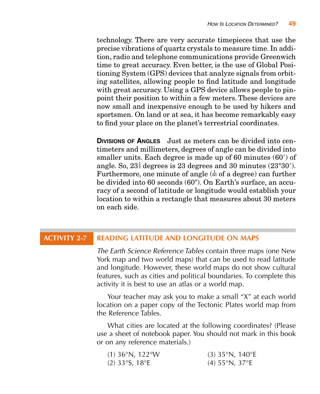technology. There are very accurate timepieces that use the precise vibrations of quartz crystals to measure time. In addition, radio and telephone communications provide Greenwich time to great accuracy. Even better, is the use of Global Positioning System (GPS) devices that analyze signals from orbiting satellites, allowing people to find latitude and longitude with great accuracy. Using a GPS device allows people to pinpoint their position to within a few meters. These devices are now small and inexpensive enough to be used by hikers and sportsmen. On land or at sea, it has become remarkably easy to find your place on the planet's terrestrial coordinates.

**DIVISIONS OF ANGLES** Just as meters can be divided into centimeters and millimeters, degrees of angle can be divided into smaller units. Each degree is made up of 60 minutes (60') of angle. So,  $23\frac{1}{2}$  degrees is 23 degrees and 30 minutes  $(23°30')$ . Furthermore, one minute of angle  $(\frac{1}{60}$  of a degree) can further be divided into 60 seconds (60"). On Earth's surface, an accuracy of a second of latitude or longitude would establish your location to within a rectangle that measures about 30 meters on each side.

#### **ACTIVITY 2-7 READING LATITUDE AND LONGITUDE ON MAPS**

*The Earth Science Reference Tables* contain three maps (one New York map and two world maps) that can be used to read latitude and longitude. However, these world maps do not show cultural features, such as cities and political boundaries. To complete this activity it is best to use an atlas or a world map.

Your teacher may ask you to make a small "X" at each world location on a paper copy of the Tectonic Plates world map from the Reference Tables.

What cities are located at the following coordinates? (Please use a sheet of notebook paper. You should not mark in this book or on any reference materials.)

| $(1)$ 36°N, 122°W | $(3)$ 35°N, 140°E        |
|-------------------|--------------------------|
| $(2)$ 33°S, 18°E  | $(4) 55^{\circ}N$ , 37°E |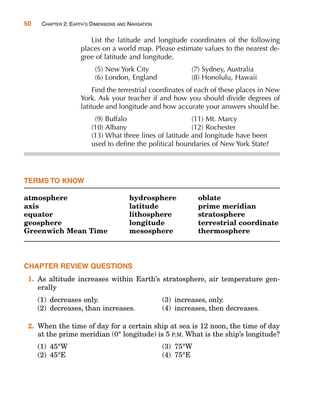List the latitude and longitude coordinates of the following places on a world map. Please estimate values to the nearest degree of latitude and longitude.

| (5) New York City   | (7) Sydney, Australia |
|---------------------|-----------------------|
| (6) London, England | (8) Honolulu, Hawaii  |

Find the terrestrial coordinates of each of these places in New York. Ask your teacher if and how you should divide degrees of latitude and longitude and how accurate your answers should be.

(9) Buffalo (11) Mt. Marcy (10) Albany (12) Rochester (13) What three lines of latitude and longitude have been used to define the political boundaries of New York State?

#### **TERMS TO KNOW**

| hydrosphere<br>latitude<br>lithosphere<br>longitude | oblate<br>prime meridian<br>stratosphere<br>terrestrial coordinate |
|-----------------------------------------------------|--------------------------------------------------------------------|
|                                                     | thermosphere                                                       |
|                                                     | mesosphere                                                         |

#### **CHAPTER REVIEW QUESTIONS**

- **1.** As altitude increases within Earth's stratosphere, air temperature generally
	- (1) decreases only. (3) increases, only.
- - (2) decreases, than increases. (4) increases, then decreases.
- 
- **2.** When the time of day for a certain ship at sea is 12 noon, the time of day at the prime meridian (0° longitude) is 5 P.M. What is the ship's longitude?
	- (1)  $45^{\circ}\text{W}$  (3)  $75^{\circ}\text{W}$ (2)  $45^{\circ}E$  (4)  $75^{\circ}E$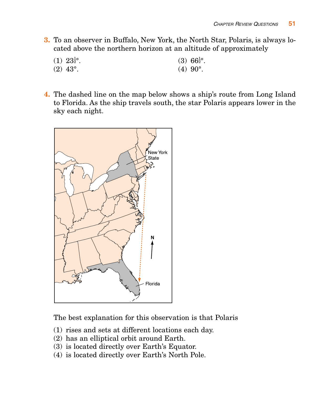- **3.** To an observer in Buffalo, New York, the North Star, Polaris, is always located above the northern horizon at an altitude of approximately
	- (1)  $23^{\frac{1}{2}}$ . (3)  $66^{\frac{1}{2}}$ . (2)  $43^{\circ}$ . (4)  $90^{\circ}$ .  $\frac{1}{2}$
- **4.** The dashed line on the map below shows a ship's route from Long Island to Florida. As the ship travels south, the star Polaris appears lower in the sky each night.



The best explanation for this observation is that Polaris

- (1) rises and sets at different locations each day.
- (2) has an elliptical orbit around Earth.
- (3) is located directly over Earth's Equator.
- (4) is located directly over Earth's North Pole.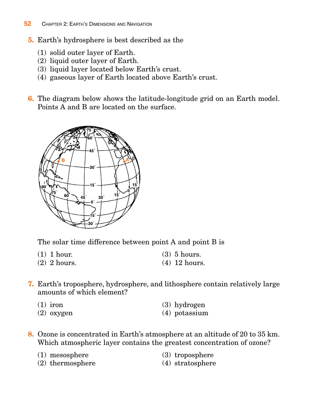- **5.** Earth's hydrosphere is best described as the
	- (1) solid outer layer of Earth.
	- (2) liquid outer layer of Earth.
	- (3) liquid layer located below Earth's crust.
	- (4) gaseous layer of Earth located above Earth's crust.
- **6.** The diagram below shows the latitude-longitude grid on an Earth model. Points A and B are located on the surface.



The solar time difference between point A and point B is

- (1) 1 hour. (3) 5 hours.
- 

(2) 2 hours. (4) 12 hours.

- **7.** Earth's troposphere, hydrosphere, and lithosphere contain relatively large amounts of which element?
	-
	-
	- (1) iron (3) hydrogen (2) oxygen (4) potassium
- **8.** Ozone is concentrated in Earth's atmosphere at an altitude of 20 to 35 km. Which atmospheric layer contains the greatest concentration of ozone?
	- (1) mesosphere (3) troposphere
	- (2) thermosphere (4) stratosphere
-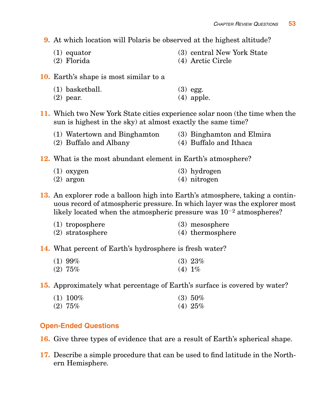**9.** At which location will Polaris be observed at the highest altitude?

- (1) equator (3) central New York State<br>
(2) Florida (4) Arctic Circle
- $(4)$  Arctic Circle
- **10.** Earth's shape is most similar to a

| $(1)$ basketball. | $(3)$ egg.   |
|-------------------|--------------|
| $(2)$ pear.       | $(4)$ apple. |

- **11.** Which two New York State cities experience solar noon (the time when the sun is highest in the sky) at almost exactly the same time?
	- (1) Watertown and Binghamton (3) Binghamton and Elmira
	- (2) Buffalo and Albany (4) Buffalo and Ithaca
- **12.** What is the most abundant element in Earth's atmosphere?
	- (1) oxygen (3) hydrogen (2) argon (4) nitrogen

**13.** An explorer rode a balloon high into Earth's atmosphere, taking a continuous record of atmospheric pressure. In which layer was the explorer most likely located when the atmospheric pressure was  $10^{-2}$  atmospheres?

| $(1)$ troposphere  | (3) mesosphere   |
|--------------------|------------------|
| $(2)$ stratosphere | (4) thermosphere |

**14.** What percent of Earth's hydrosphere is fresh water?

| (1)99%  | $(3)$ 23% |
|---------|-----------|
| (2) 75% | $(4) 1\%$ |

**15.** Approximately what percentage of Earth's surface is covered by water?

| $(1) 100\%$ | $(3)$ 50% |
|-------------|-----------|
| (2) 75%     | $(4)$ 25% |

#### **Open-Ended Questions**

- **16.** Give three types of evidence that are a result of Earth's spherical shape.
- **17.** Describe a simple procedure that can be used to find latitude in the Northern Hemisphere.